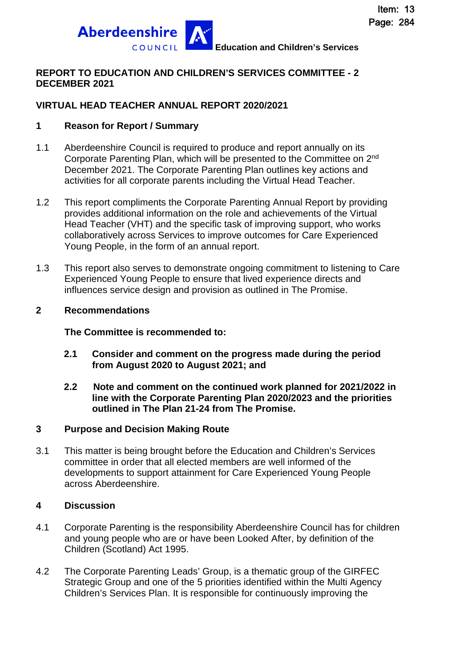

### **REPORT TO EDUCATION AND CHILDREN'S SERVICES COMMITTEE - 2 DECEMBER 2021**

### **VIRTUAL HEAD TEACHER ANNUAL REPORT 2020/2021**

#### **1 Reason for Report / Summary**

- 1.1 Aberdeenshire Council is required to produce and report annually on its Corporate Parenting Plan, which will be presented to the Committee on 2nd December 2021. The Corporate Parenting Plan outlines key actions and activities for all corporate parents including the Virtual Head Teacher.
- 1.2 This report compliments the Corporate Parenting Annual Report by providing provides additional information on the role and achievements of the Virtual Head Teacher (VHT) and the specific task of improving support, who works collaboratively across Services to improve outcomes for Care Experienced Young People, in the form of an annual report.
- 1.3 This report also serves to demonstrate ongoing commitment to listening to Care Experienced Young People to ensure that lived experience directs and influences service design and provision as outlined in The Promise.

#### **2 Recommendations**

**The Committee is recommended to:** 

- **2.1 Consider and comment on the progress made during the period from August 2020 to August 2021; and**
- **2.2 Note and comment on the continued work planned for 2021/2022 in line with the Corporate Parenting Plan 2020/2023 and the priorities outlined in The Plan 21-24 from The Promise.**

#### **3 Purpose and Decision Making Route**

3.1 This matter is being brought before the Education and Children's Services committee in order that all elected members are well informed of the developments to support attainment for Care Experienced Young People across Aberdeenshire.

#### **4 Discussion**

- 4.1 Corporate Parenting is the responsibility Aberdeenshire Council has for children and young people who are or have been Looked After, by definition of the Children (Scotland) Act 1995.
- 4.2 The Corporate Parenting Leads' Group, is a thematic group of the GIRFEC Strategic Group and one of the 5 priorities identified within the Multi Agency Children's Services Plan. It is responsible for continuously improving the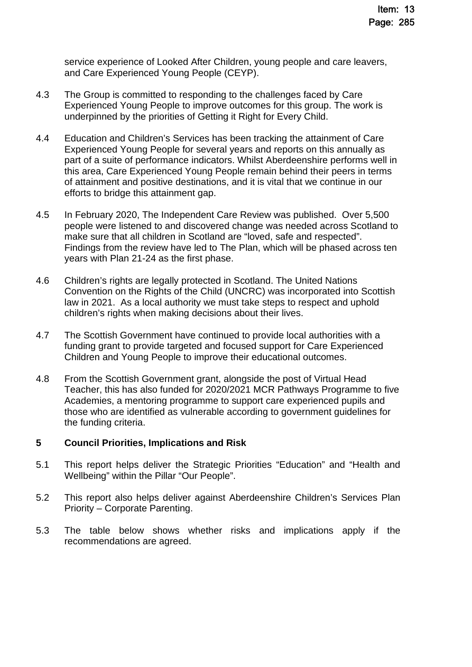service experience of Looked After Children, young people and care leavers, and Care Experienced Young People (CEYP).

- 4.3 The Group is committed to responding to the challenges faced by Care Experienced Young People to improve outcomes for this group. The work is underpinned by the priorities of Getting it Right for Every Child.
- 4.4 Education and Children's Services has been tracking the attainment of Care Experienced Young People for several years and reports on this annually as part of a suite of performance indicators. Whilst Aberdeenshire performs well in this area, Care Experienced Young People remain behind their peers in terms of attainment and positive destinations, and it is vital that we continue in our efforts to bridge this attainment gap.
- 4.5 In February 2020, The Independent Care Review was published. Over 5,500 people were listened to and discovered change was needed across Scotland to make sure that all children in Scotland are "loved, safe and respected". Findings from the review have led to The Plan, which will be phased across ten years with Plan 21-24 as the first phase.
- 4.6 Children's rights are legally protected in Scotland. The United Nations Convention on the Rights of the Child (UNCRC) was incorporated into Scottish law in 2021. As a local authority we must take steps to respect and uphold children's rights when making decisions about their lives.
- 4.7 The Scottish Government have continued to provide local authorities with a funding grant to provide targeted and focused support for Care Experienced Children and Young People to improve their educational outcomes.
- 4.8 From the Scottish Government grant, alongside the post of Virtual Head Teacher, this has also funded for 2020/2021 MCR Pathways Programme to five Academies, a mentoring programme to support care experienced pupils and those who are identified as vulnerable according to government guidelines for the funding criteria.

### **5 Council Priorities, Implications and Risk**

- 5.1 This report helps deliver the Strategic Priorities "Education" and "Health and Wellbeing" within the Pillar "Our People".
- 5.2 This report also helps deliver against Aberdeenshire Children's Services Plan Priority – Corporate Parenting.
- 5.3 The table below shows whether risks and implications apply if the recommendations are agreed.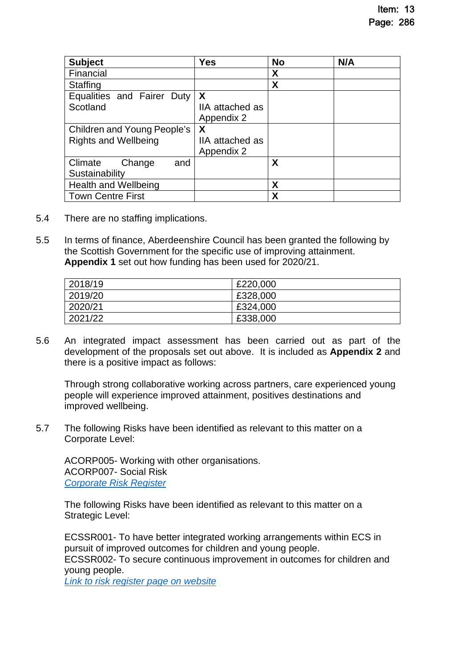| <b>Subject</b>                | <b>Yes</b>      | <b>No</b> | N/A |
|-------------------------------|-----------------|-----------|-----|
| Financial                     |                 | X         |     |
| <b>Staffing</b>               |                 | X         |     |
| Equalities and Fairer<br>Duty | X               |           |     |
| Scotland                      | IIA attached as |           |     |
|                               | Appendix 2      |           |     |
| Children and Young People's   | X               |           |     |
| <b>Rights and Wellbeing</b>   | IIA attached as |           |     |
|                               | Appendix 2      |           |     |
| Climate<br>Change<br>and      |                 | X         |     |
| Sustainability                |                 |           |     |
| <b>Health and Wellbeing</b>   |                 | X         |     |
| <b>Town Centre First</b>      |                 | X         |     |

- 5.4 There are no staffing implications.
- 5.5 In terms of finance, Aberdeenshire Council has been granted the following by the Scottish Government for the specific use of improving attainment. **Appendix 1** set out how funding has been used for 2020/21.

| 2018/19 | £220,000 |
|---------|----------|
| 2019/20 | £328,000 |
| 2020/21 | £324,000 |
| 2021/22 | £338,000 |

5.6 An integrated impact assessment has been carried out as part of the development of the proposals set out above. It is included as **Appendix 2** and there is a positive impact as follows:

Through strong collaborative working across partners, care experienced young people will experience improved attainment, positives destinations and improved wellbeing.

5.7 The following Risks have been identified as relevant to this matter on a Corporate Level:

ACORP005- Working with other organisations. ACORP007- Social Risk *[Corporate Risk Register](https://www.aberdeenshire.gov.uk/media/26308/corporaterisks.pdf)* 

The following Risks have been identified as relevant to this matter on a Strategic Level:

ECSSR001- To have better integrated working arrangements within ECS in pursuit of improved outcomes for children and young people. ECSSR002- To secure continuous improvement in outcomes for children and young people.

*[Link to risk register page on website](https://www.aberdeenshire.gov.uk/council-and-democracy/about-us/plans-and-reports/)*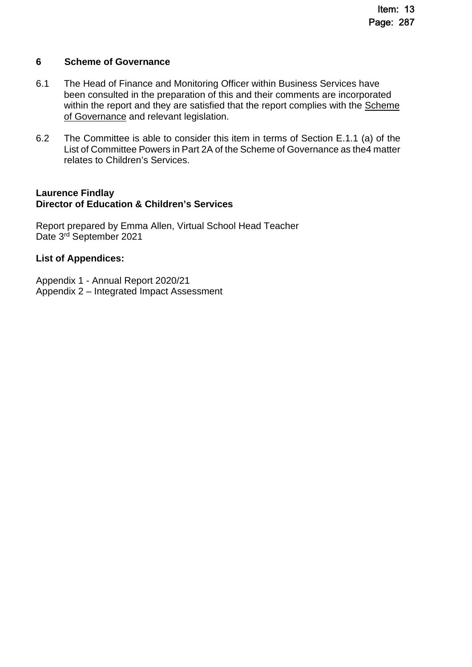#### **6 Scheme of Governance**

- 6.1 The Head of Finance and Monitoring Officer within Business Services have been consulted in the preparation of this and their comments are incorporated within the report and they are satisfied that the report complies with the [Scheme](https://www.aberdeenshire.gov.uk/council-and-democracy/scheme-of-governance/)  [of Governance and relevant legislation.](https://www.aberdeenshire.gov.uk/council-and-democracy/scheme-of-governance/)
- 6.2 The Committee is able to consider this item in terms of Section E.1.1 (a) of the List of Committee Powers in Part 2A of the Scheme of Governance as the4 matter relates to Children's Services.

#### **Laurence Findlay Director of Education & Children's Services**

Report prepared by Emma Allen, Virtual School Head Teacher Date 3<sup>rd</sup> September 2021

### **List of Appendices:**

Appendix 1 - Annual Report 2020/21 Appendix 2 – Integrated Impact Assessment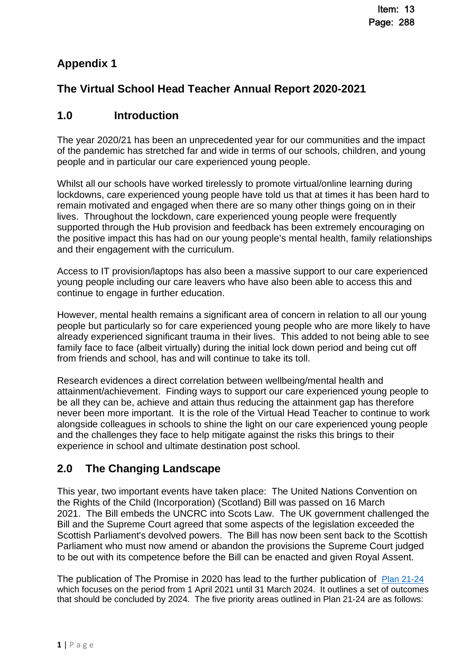### **Appendix 1**

### **The Virtual School Head Teacher Annual Report 2020-2021**

### **1.0 Introduction**

The year 2020/21 has been an unprecedented year for our communities and the impact of the pandemic has stretched far and wide in terms of our schools, children, and young people and in particular our care experienced young people.

Whilst all our schools have worked tirelessly to promote virtual/online learning during lockdowns, care experienced young people have told us that at times it has been hard to remain motivated and engaged when there are so many other things going on in their lives. Throughout the lockdown, care experienced young people were frequently supported through the Hub provision and feedback has been extremely encouraging on the positive impact this has had on our young people's mental health, family relationships and their engagement with the curriculum.

Access to IT provision/laptops has also been a massive support to our care experienced young people including our care leavers who have also been able to access this and continue to engage in further education.

However, mental health remains a significant area of concern in relation to all our young people but particularly so for care experienced young people who are more likely to have already experienced significant trauma in their lives. This added to not being able to see family face to face (albeit virtually) during the initial lock down period and being cut off from friends and school, has and will continue to take its toll.

Research evidences a direct correlation between wellbeing/mental health and attainment/achievement. Finding ways to support our care experienced young people to be all they can be, achieve and attain thus reducing the attainment gap has therefore never been more important. It is the role of the Virtual Head Teacher to continue to work alongside colleagues in schools to shine the light on our care experienced young people and the challenges they face to help mitigate against the risks this brings to their experience in school and ultimate destination post school.

### **2.0 The Changing Landscape**

This year, two important events have taken place: The United Nations Convention on the Rights of the Child (Incorporation) (Scotland) Bill was passed on 16 March 2021. The Bill embeds the UNCRC into Scots Law. The UK government challenged the Bill and the Supreme Court agreed that some aspects of the legislation exceeded the Scottish Parliament's devolved powers. The Bill has now been sent back to the Scottish Parliament who must now amend or abandon the provisions the Supreme Court judged to be out with its competence before the Bill can be enacted and given Royal Assent.

The publication of The Promise in 2020 has lead to the further publication of [Plan 21-24](https://thepromise.scot/plan-21-24-pdf-spread.pdf) which focuses on the period from 1 April 2021 until 31 March 2024. It outlines a set of outcomes that should be concluded by 2024. The five priority areas outlined in Plan 21-24 are as follows: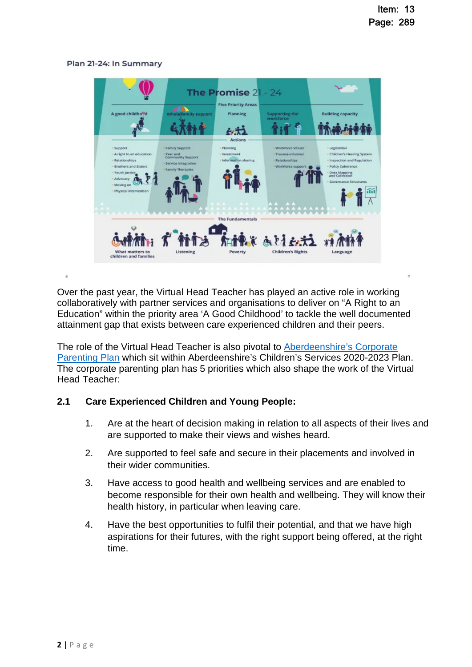#### Plan 21-24: In Summary



Over the past year, the Virtual Head Teacher has played an active role in working collaboratively with partner services and organisations to deliver on "A Right to an Education" within the priority area 'A Good Childhood' to tackle the well documented attainment gap that exists between care experienced children and their peers.

The role of the Virtual Head Teacher is also pivotal to [Aberdeenshire's Corporate](https://www.girfec-aberdeenshire.org/wp-content/uploads/2020/10/Aberdeenshires-Childrens-Services-Plan-2020-2023.pdf)  [Parenting Plan which sit within Aberdeenshire's Children's Services 2020-2023 Plan.](https://www.girfec-aberdeenshire.org/wp-content/uploads/2020/10/Aberdeenshires-Childrens-Services-Plan-2020-2023.pdf)  The corporate parenting plan has 5 priorities which also shape the work of the Virtual Head Teacher:

#### **2.1 Care Experienced Children and Young People:**

- 1. Are at the heart of decision making in relation to all aspects of their lives and are supported to make their views and wishes heard.
- 2. Are supported to feel safe and secure in their placements and involved in their wider communities.
- 3. Have access to good health and wellbeing services and are enabled to become responsible for their own health and wellbeing. They will know their health history, in particular when leaving care.
- 4. Have the best opportunities to fulfil their potential, and that we have high aspirations for their futures, with the right support being offered, at the right time.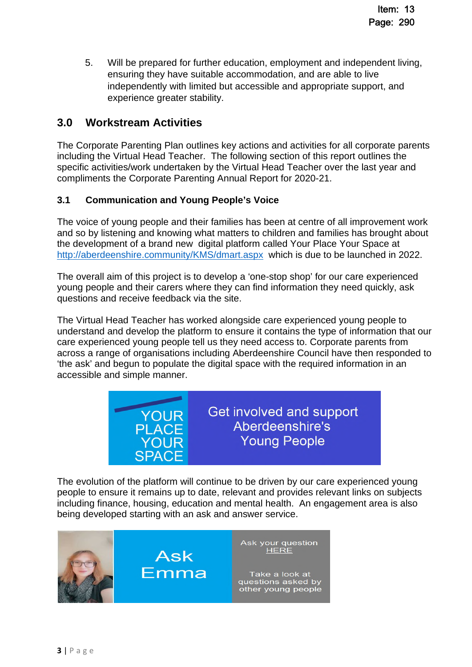5. Will be prepared for further education, employment and independent living, ensuring they have suitable accommodation, and are able to live independently with limited but accessible and appropriate support, and experience greater stability.

### **3.0 Workstream Activities**

The Corporate Parenting Plan outlines key actions and activities for all corporate parents including the Virtual Head Teacher. The following section of this report outlines the specific activities/work undertaken by the Virtual Head Teacher over the last year and compliments the Corporate Parenting Annual Report for 2020-21.

### **3.1 Communication and Young People's Voice**

The voice of young people and their families has been at centre of all improvement work and so by listening and knowing what matters to children and families has brought about the development of a brand new digital platform called Your Place Your Space at <http://aberdeenshire.community/KMS/dmart.aspx> which is due to be launched in 2022.

The overall aim of this project is to develop a 'one-stop shop' for our care experienced young people and their carers where they can find information they need quickly, ask questions and receive feedback via the site.

The Virtual Head Teacher has worked alongside care experienced young people to understand and develop the platform to ensure it contains the type of information that our care experienced young people tell us they need access to. Corporate parents from across a range of organisations including Aberdeenshire Council have then responded to 'the ask' and begun to populate the digital space with the required information in an accessible and simple manner.



Get involved and support Aberdeenshire's **Young People** 

The evolution of the platform will continue to be driven by our care experienced young people to ensure it remains up to date, relevant and provides relevant links on subjects including finance, housing, education and mental health. An engagement area is also being developed starting with an ask and answer service.

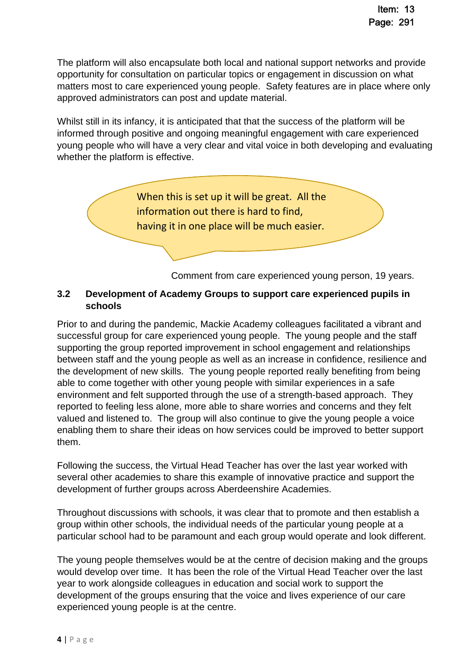The platform will also encapsulate both local and national support networks and provide opportunity for consultation on particular topics or engagement in discussion on what matters most to care experienced young people. Safety features are in place where only approved administrators can post and update material.

Whilst still in its infancy, it is anticipated that that the success of the platform will be informed through positive and ongoing meaningful engagement with care experienced young people who will have a very clear and vital voice in both developing and evaluating whether the platform is effective.



Comment from care experienced young person, 19 years.

### **3.2 Development of Academy Groups to support care experienced pupils in schools**

Prior to and during the pandemic, Mackie Academy colleagues facilitated a vibrant and successful group for care experienced young people. The young people and the staff supporting the group reported improvement in school engagement and relationships between staff and the young people as well as an increase in confidence, resilience and the development of new skills. The young people reported really benefiting from being able to come together with other young people with similar experiences in a safe environment and felt supported through the use of a strength-based approach. They reported to feeling less alone, more able to share worries and concerns and they felt valued and listened to. The group will also continue to give the young people a voice enabling them to share their ideas on how services could be improved to better support them.

Following the success, the Virtual Head Teacher has over the last year worked with several other academies to share this example of innovative practice and support the development of further groups across Aberdeenshire Academies.

Throughout discussions with schools, it was clear that to promote and then establish a group within other schools, the individual needs of the particular young people at a particular school had to be paramount and each group would operate and look different.

The young people themselves would be at the centre of decision making and the groups would develop over time. It has been the role of the Virtual Head Teacher over the last year to work alongside colleagues in education and social work to support the development of the groups ensuring that the voice and lives experience of our care experienced young people is at the centre.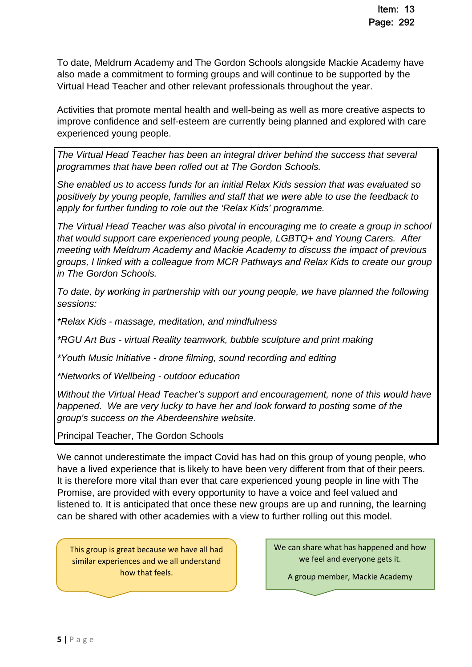To date, Meldrum Academy and The Gordon Schools alongside Mackie Academy have also made a commitment to forming groups and will continue to be supported by the Virtual Head Teacher and other relevant professionals throughout the year.

Activities that promote mental health and well-being as well as more creative aspects to improve confidence and self-esteem are currently being planned and explored with care experienced young people.

*The Virtual Head Teacher has been an integral driver behind the success that several programmes that have been rolled out at The Gordon Schools.* 

*She enabled us to access funds for an initial Relax Kids session that was evaluated so positively by young people, families and staff that we were able to use the feedback to apply for further funding to role out the 'Relax Kids' programme.* 

*The Virtual Head Teacher was also pivotal in encouraging me to create a group in school that would support care experienced young people, LGBTQ+ and Young Carers. After meeting with Meldrum Academy and Mackie Academy to discuss the impact of previous groups, I linked with a colleague from MCR Pathways and Relax Kids to create our group in The Gordon Schools.* 

*To date, by working in partnership with our young people, we have planned the following sessions:* 

*\*Relax Kids - massage, meditation, and mindfulness* 

*\*RGU Art Bus - virtual Reality teamwork, bubble sculpture and print making* 

*\*Youth Music Initiative - drone filming, sound recording and editing* 

*\*Networks of Wellbeing - outdoor education* 

*Without the Virtual Head Teacher's support and encouragement, none of this would have happened. We are very lucky to have her and look forward to posting some of the group's success on the Aberdeenshire website.* 

Principal Teacher, The Gordon Schools

We cannot underestimate the impact Covid has had on this group of young people, who have a lived experience that is likely to have been very different from that of their peers. It is therefore more vital than ever that care experienced young people in line with The Promise, are provided with every opportunity to have a voice and feel valued and listened to. It is anticipated that once these new groups are up and running, the learning can be shared with other academies with a view to further rolling out this model.

This group is great because we have all had similar experiences and we all understand how that feels.

 $\sim$  group member,  $\sim$ 

We can share what has happened and how we feel and everyone gets it.

A group member, Mackie Academy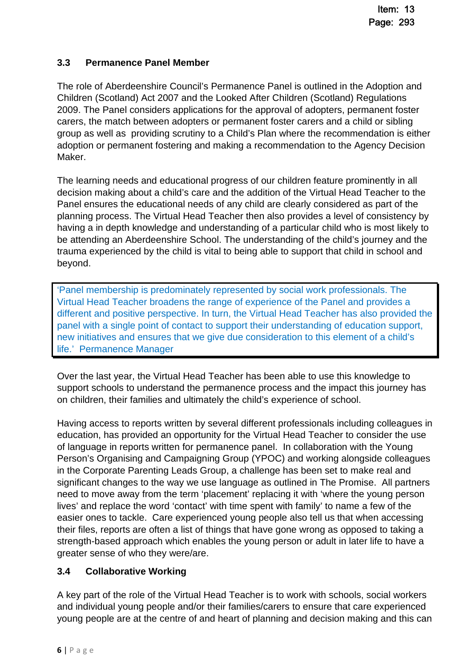### **3.3 Permanence Panel Member**

The role of Aberdeenshire Council's Permanence Panel is outlined in the Adoption and Children (Scotland) Act 2007 and the Looked After Children (Scotland) Regulations 2009. The Panel considers applications for the approval of adopters, permanent foster carers, the match between adopters or permanent foster carers and a child or sibling group as well as providing scrutiny to a Child's Plan where the recommendation is either adoption or permanent fostering and making a recommendation to the Agency Decision Maker.

The learning needs and educational progress of our children feature prominently in all decision making about a child's care and the addition of the Virtual Head Teacher to the Panel ensures the educational needs of any child are clearly considered as part of the planning process. The Virtual Head Teacher then also provides a level of consistency by having a in depth knowledge and understanding of a particular child who is most likely to be attending an Aberdeenshire School. The understanding of the child's journey and the trauma experienced by the child is vital to being able to support that child in school and beyond.

'Panel membership is predominately represented by social work professionals. The Virtual Head Teacher broadens the range of experience of the Panel and provides a different and positive perspective. In turn, the Virtual Head Teacher has also provided the panel with a single point of contact to support their understanding of education support, new initiatives and ensures that we give due consideration to this element of a child's life.' Permanence Manager

Over the last year, the Virtual Head Teacher has been able to use this knowledge to support schools to understand the permanence process and the impact this journey has on children, their families and ultimately the child's experience of school.

Having access to reports written by several different professionals including colleagues in education, has provided an opportunity for the Virtual Head Teacher to consider the use of language in reports written for permanence panel. In collaboration with the Young Person's Organising and Campaigning Group (YPOC) and working alongside colleagues in the Corporate Parenting Leads Group, a challenge has been set to make real and significant changes to the way we use language as outlined in The Promise. All partners need to move away from the term 'placement' replacing it with 'where the young person lives' and replace the word 'contact' with time spent with family' to name a few of the easier ones to tackle. Care experienced young people also tell us that when accessing their files, reports are often a list of things that have gone wrong as opposed to taking a strength-based approach which enables the young person or adult in later life to have a greater sense of who they were/are.

### **3.4 Collaborative Working**

A key part of the role of the Virtual Head Teacher is to work with schools, social workers and individual young people and/or their families/carers to ensure that care experienced young people are at the centre of and heart of planning and decision making and this can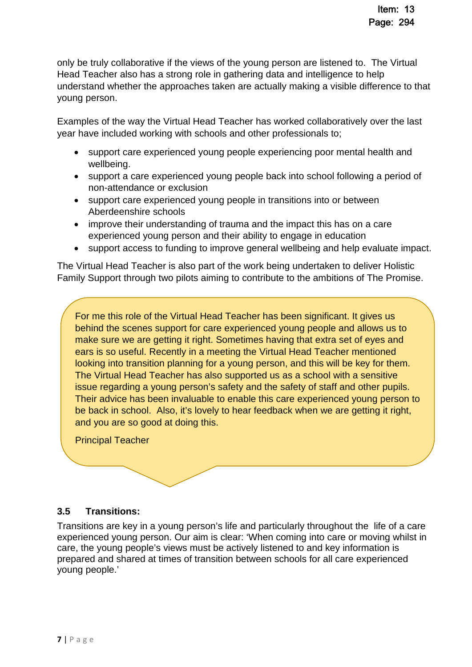only be truly collaborative if the views of the young person are listened to. The Virtual Head Teacher also has a strong role in gathering data and intelligence to help understand whether the approaches taken are actually making a visible difference to that young person.

Examples of the way the Virtual Head Teacher has worked collaboratively over the last year have included working with schools and other professionals to;

- support care experienced young people experiencing poor mental health and wellbeing.
- support a care experienced young people back into school following a period of non-attendance or exclusion
- support care experienced young people in transitions into or between Aberdeenshire schools
- improve their understanding of trauma and the impact this has on a care experienced young person and their ability to engage in education
- support access to funding to improve general wellbeing and help evaluate impact.

The Virtual Head Teacher is also part of the work being undertaken to deliver Holistic Family Support through two pilots aiming to contribute to the ambitions of The Promise.

For me this role of the Virtual Head Teacher has been significant. It gives us behind the scenes support for care experienced young people and allows us to make sure we are getting it right. Sometimes having that extra set of eyes and ears is so useful. Recently in a meeting the Virtual Head Teacher mentioned looking into transition planning for a young person, and this will be key for them. The Virtual Head Teacher has also supported us as a school with a sensitive issue regarding a young person's safety and the safety of staff and other pupils. Their advice has been invaluable to enable this care experienced young person to be back in school. Also, it's lovely to hear feedback when we are getting it right, and you are so good at doing this.

Principal Teacher

### **3.5 Transitions:**

Transitions are key in a young person's life and particularly throughout the life of a care experienced young person. Our aim is clear: 'When coming into care or moving whilst in care, the young people's views must be actively listened to and key information is prepared and shared at times of transition between schools for all care experienced young people.'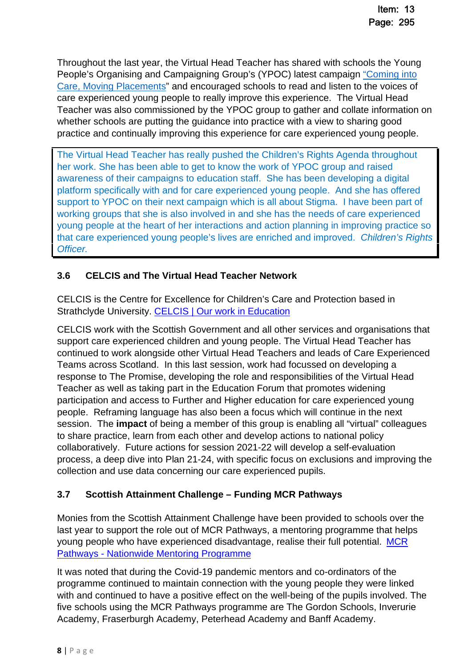Throughout the last year, the Virtual Head Teacher has shared with schools the Young People's Organising and Campaigning Group's (YPOC) latest campaign ["Coming into](https://www.aberdeenshire.gov.uk/social-care-and-health/children-and-families/childrens-rights-service/)  [Care, Moving Placements" and encouraged schools to read and listen to the voices of](https://www.aberdeenshire.gov.uk/social-care-and-health/children-and-families/childrens-rights-service/)  care experienced young people to really improve this experience. The Virtual Head Teacher was also commissioned by the YPOC group to gather and collate information on whether schools are putting the guidance into practice with a view to sharing good practice and continually improving this experience for care experienced young people.

The Virtual Head Teacher has really pushed the Children's Rights Agenda throughout her work. She has been able to get to know the work of YPOC group and raised awareness of their campaigns to education staff. She has been developing a digital platform specifically with and for care experienced young people. And she has offered support to YPOC on their next campaign which is all about Stigma. I have been part of working groups that she is also involved in and she has the needs of care experienced young people at the heart of her interactions and action planning in improving practice so that care experienced young people's lives are enriched and improved. *Children's Rights Officer.* 

### **3.6 CELCIS and The Virtual Head Teacher Network**

CELCIS is the Centre for Excellence for Children's Care and Protection based in Strathclyde University. [CELCIS | Our work in Education](https://www.celcis.org/our-work/key-areas/education)

CELCIS work with the Scottish Government and all other services and organisations that support care experienced children and young people. The Virtual Head Teacher has continued to work alongside other Virtual Head Teachers and leads of Care Experienced Teams across Scotland. In this last session, work had focussed on developing a response to The Promise, developing the role and responsibilities of the Virtual Head Teacher as well as taking part in the Education Forum that promotes widening participation and access to Further and Higher education for care experienced young people. Reframing language has also been a focus which will continue in the next session. The **impact** of being a member of this group is enabling all "virtual" colleagues to share practice, learn from each other and develop actions to national policy collaboratively. Future actions for session 2021-22 will develop a self-evaluation process, a deep dive into Plan 21-24, with specific focus on exclusions and improving the collection and use data concerning our care experienced pupils.

### **3.7 Scottish Attainment Challenge – Funding MCR Pathways**

Monies from the Scottish Attainment Challenge have been provided to schools over the last year to support the role out of MCR Pathways, a mentoring programme that helps young people who have experienced disadvantage, realise their full potential. [MCR](https://mcrpathways.org/)  [Pathways - Nationwide Mentoring Programme](https://mcrpathways.org/)

It was noted that during the Covid-19 pandemic mentors and co-ordinators of the programme continued to maintain connection with the young people they were linked with and continued to have a positive effect on the well-being of the pupils involved. The five schools using the MCR Pathways programme are The Gordon Schools, Inverurie Academy, Fraserburgh Academy, Peterhead Academy and Banff Academy.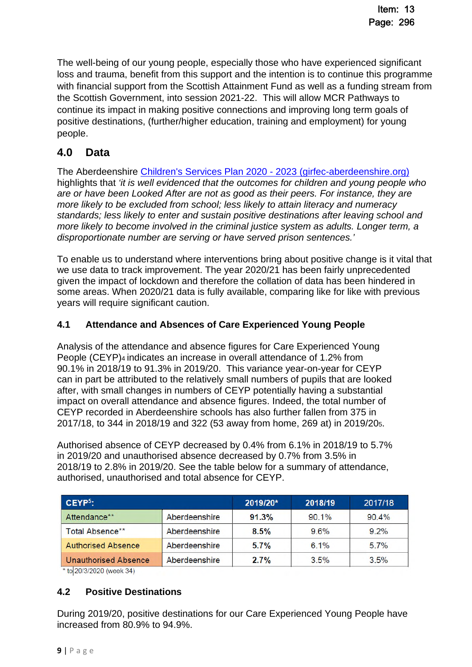The well-being of our young people, especially those who have experienced significant loss and trauma, benefit from this support and the intention is to continue this programme with financial support from the Scottish Attainment Fund as well as a funding stream from the Scottish Government, into session 2021-22. This will allow MCR Pathways to continue its impact in making positive connections and improving long term goals of positive destinations, (further/higher education, training and employment) for young people.

### **4.0 Data**

The Aberdeenshire [Children's Services Plan 2020 - 2023 \(girfec-aberdeenshire.org\)](https://www.girfec-aberdeenshire.org/wp-content/uploads/2020/10/Aberdeenshires-Childrens-Services-Plan-2020-2023.pdf#:~:text=Aberdeenshire%E2%80%99s%20fifth%20Children%E2%80%99s%20Services%20Plan%20is%20based%20on,Plans%20and%20The%20Scottish%20Government%E2%80%99s%20overall%20aim%20to%3A)  highlights that *'it is well evidenced that the outcomes for children and young people who are or have been Looked After are not as good as their peers. For instance, they are more likely to be excluded from school; less likely to attain literacy and numeracy standards; less likely to enter and sustain positive destinations after leaving school and more likely to become involved in the criminal justice system as adults. Longer term, a disproportionate number are serving or have served prison sentences.'* 

To enable us to understand where interventions bring about positive change is it vital that we use data to track improvement. The year 2020/21 has been fairly unprecedented given the impact of lockdown and therefore the collation of data has been hindered in some areas. When 2020/21 data is fully available, comparing like for like with previous years will require significant caution.

### **4.1 Attendance and Absences of Care Experienced Young People**

Analysis of the attendance and absence figures for Care Experienced Young People (CEYP)4 indicates an increase in overall attendance of 1.2% from 90.1% in 2018/19 to 91.3% in 2019/20. This variance year-on-year for CEYP can in part be attributed to the relatively small numbers of pupils that are looked after, with small changes in numbers of CEYP potentially having a substantial impact on overall attendance and absence figures. Indeed, the total number of CEYP recorded in Aberdeenshire schools has also further fallen from 375 in 2017/18, to 344 in 2018/19 and 322 (53 away from home, 269 at) in 2019/205.

Authorised absence of CEYP decreased by 0.4% from 6.1% in 2018/19 to 5.7% in 2019/20 and unauthorised absence decreased by 0.7% from 3.5% in 2018/19 to 2.8% in 2019/20. See the table below for a summary of attendance, authorised, unauthorised and total absence for CEYP.

| $C EYP5$ :                |               | 2019/20* | 2018/19 | 2017/18 |
|---------------------------|---------------|----------|---------|---------|
| Attendance**              | Aberdeenshire | 91.3%    | 90.1%   | 90.4%   |
| Total Absence**           | Aberdeenshire | 8.5%     | $9.6\%$ | $9.2\%$ |
| <b>Authorised Absence</b> | Aberdeenshire | 5.7%     | 6.1%    | $5.7\%$ |
| Unauthorised Absence      | Aberdeenshire | 2.7%     | 3.5%    | $3.5\%$ |

\* to 20/3/2020 (week 34)

### **4.2 Positive Destinations**

During 2019/20, positive destinations for our Care Experienced Young People have increased from 80.9% to 94.9%.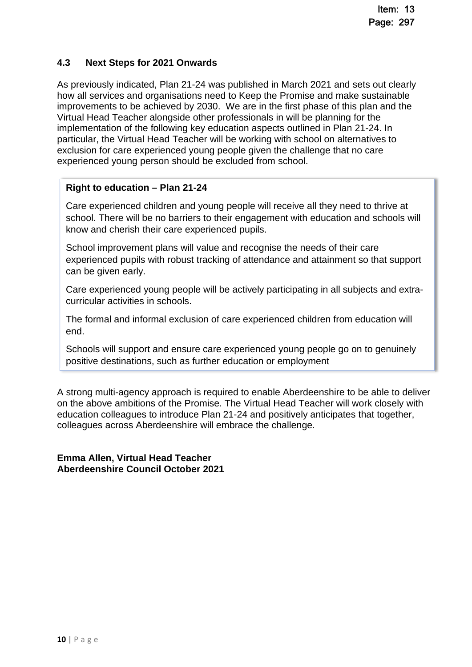### **4.3 Next Steps for 2021 Onwards**

As previously indicated, Plan 21-24 was published in March 2021 and sets out clearly how all services and organisations need to Keep the Promise and make sustainable improvements to be achieved by 2030. We are in the first phase of this plan and the Virtual Head Teacher alongside other professionals in will be planning for the implementation of the following key education aspects outlined in Plan 21-24. In particular, the Virtual Head Teacher will be working with school on alternatives to exclusion for care experienced young people given the challenge that no care experienced young person should be excluded from school.

### **Right to education – Plan 21-24**

Care experienced children and young people will receive all they need to thrive at school. There will be no barriers to their engagement with education and schools will know and cherish their care experienced pupils.

School improvement plans will value and recognise the needs of their care experienced pupils with robust tracking of attendance and attainment so that support can be given early.

Care experienced young people will be actively participating in all subjects and extracurricular activities in schools.

The formal and informal exclusion of care experienced children from education will end.

Schools will support and ensure care experienced young people go on to genuinely positive destinations, such as further education or employment

A strong multi-agency approach is required to enable Aberdeenshire to be able to deliver on the above ambitions of the Promise. The Virtual Head Teacher will work closely with education colleagues to introduce Plan 21-24 and positively anticipates that together, colleagues across Aberdeenshire will embrace the challenge.

**Emma Allen, Virtual Head Teacher Aberdeenshire Council October 2021**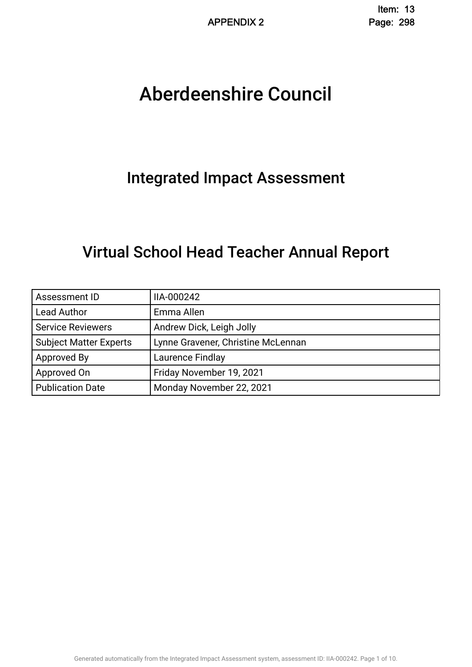# Aberdeenshire Council .

## Integrated Impact Assessment.

## Virtual School Head Teacher Annual Report.

| Assessment ID                 | IIA-000242                         |
|-------------------------------|------------------------------------|
| <b>Lead Author</b>            | Emma Allen                         |
| <b>Service Reviewers</b>      | Andrew Dick, Leigh Jolly           |
| <b>Subject Matter Experts</b> | Lynne Gravener, Christine McLennan |
| Approved By                   | Laurence Findlay                   |
| Approved On                   | Friday November 19, 2021           |
| <b>Publication Date</b>       | Monday November 22, 2021           |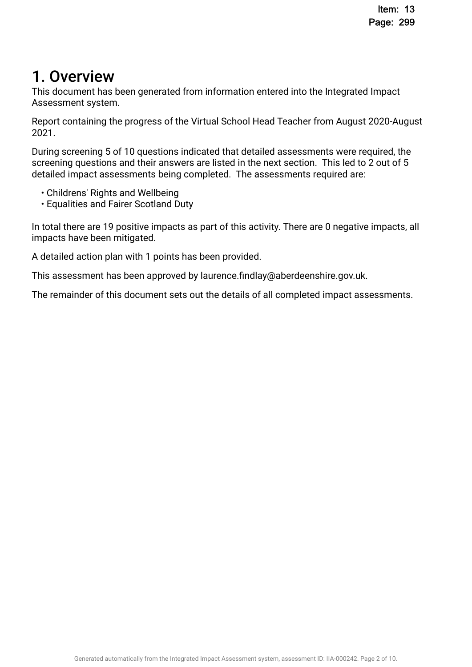## 1. Overview

This document has been generated from information entered into the Integrated Impact Assessment system.

Report containing the progress of the Virtual School Head Teacher from August 2020-August 2021.

During screening 5 of 10 questions indicated that detailed assessments were required, the screening questions and their answers are listed in the next section. This led to 2 out of 5 detailed impact assessments being completed. The assessments required are:

- Childrens' Rights and Wellbeing
- Equalities and Fairer Scotland Duty

In total there are 19 positive impacts as part of this activity. There are 0 negative impacts, all impacts have been mitigated.

A detailed action plan with 1 points has been provided.

This assessment has been approved by laurence.fndlay@aberdeenshire.gov.uk.

The remainder of this document sets out the details of all completed impact assessments.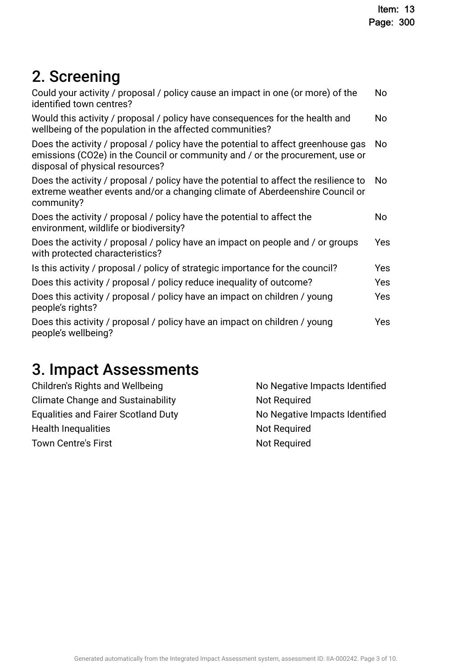# 2. Screening

| Could your activity / proposal / policy cause an impact in one (or more) of the<br>identified town centres?                                                                                           | No  |
|-------------------------------------------------------------------------------------------------------------------------------------------------------------------------------------------------------|-----|
| Would this activity / proposal / policy have consequences for the health and<br>wellbeing of the population in the affected communities?                                                              | No  |
| Does the activity / proposal / policy have the potential to affect greenhouse gas<br>emissions (CO2e) in the Council or community and / or the procurement, use or<br>disposal of physical resources? | No. |
| Does the activity / proposal / policy have the potential to affect the resilience to<br>extreme weather events and/or a changing climate of Aberdeenshire Council or<br>community?                    | No. |
| Does the activity / proposal / policy have the potential to affect the<br>environment, wildlife or biodiversity?                                                                                      | No  |
| Does the activity / proposal / policy have an impact on people and / or groups<br>with protected characteristics?                                                                                     | Yes |
| Is this activity / proposal / policy of strategic importance for the council?                                                                                                                         | Yes |
| Does this activity / proposal / policy reduce inequality of outcome?                                                                                                                                  | Yes |
| Does this activity / proposal / policy have an impact on children / young<br>people's rights?                                                                                                         | Yes |
| Does this activity / proposal / policy have an impact on children / young<br>people's wellbeing?                                                                                                      | Yes |
|                                                                                                                                                                                                       |     |

# 3. Impact Assessments

| Children's Rights and Wellbeing            | No Negative Impacts Identified |
|--------------------------------------------|--------------------------------|
| <b>Climate Change and Sustainability</b>   | Not Required                   |
| <b>Equalities and Fairer Scotland Duty</b> | No Negative Impacts Identified |
| <b>Health Inequalities</b>                 | Not Required                   |
| <b>Town Centre's First</b>                 | Not Required                   |
|                                            |                                |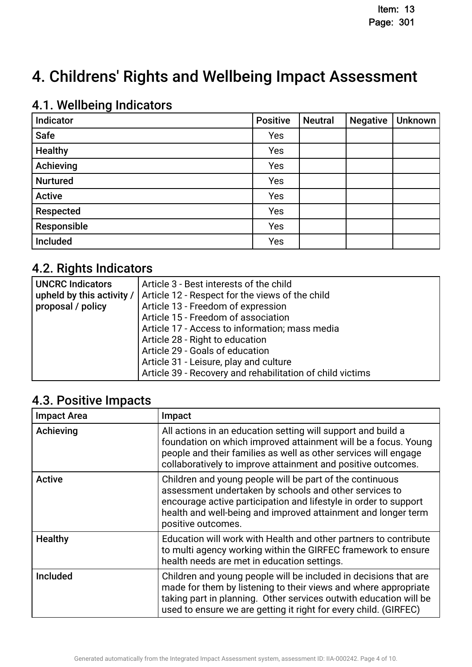## 4. Childrens' Rights and Wellbeing Impact Assessment

## 4.1. Wellbeing Indicators

| Indicator       | <b>Positive</b> | <b>Neutral</b> | <b>Negative</b> | Unknown |
|-----------------|-----------------|----------------|-----------------|---------|
| <b>Safe</b>     | Yes             |                |                 |         |
| <b>Healthy</b>  | Yes             |                |                 |         |
| Achieving       | Yes             |                |                 |         |
| <b>Nurtured</b> | Yes             |                |                 |         |
| <b>Active</b>   | Yes             |                |                 |         |
| Respected       | Yes             |                |                 |         |
| Responsible     | Yes             |                |                 |         |
| Included        | Yes             |                |                 |         |

## 4.2. Rights Indicators

| <b>UNCRC Indicators</b>   | Article 3 - Best interests of the child                   |
|---------------------------|-----------------------------------------------------------|
| upheld by this activity / | Article 12 - Respect for the views of the child           |
| proposal / policy         | Article 13 - Freedom of expression                        |
|                           | Article 15 - Freedom of association                       |
|                           | Article 17 - Access to information; mass media            |
|                           | Article 28 - Right to education                           |
|                           | Article 29 - Goals of education                           |
|                           | Article 31 - Leisure, play and culture                    |
|                           | Article 39 - Recovery and rehabilitation of child victims |

## 4.3. Positive Impacts

| <b>Impact Area</b> | Impact                                                                                                                                                                                                                                                                        |
|--------------------|-------------------------------------------------------------------------------------------------------------------------------------------------------------------------------------------------------------------------------------------------------------------------------|
| Achieving          | All actions in an education setting will support and build a<br>foundation on which improved attainment will be a focus. Young<br>people and their families as well as other services will engage<br>collaboratively to improve attainment and positive outcomes.             |
| <b>Active</b>      | Children and young people will be part of the continuous<br>assessment undertaken by schools and other services to<br>encourage active participation and lifestyle in order to support<br>health and well-being and improved attainment and longer term<br>positive outcomes. |
| <b>Healthy</b>     | Education will work with Health and other partners to contribute<br>to multi agency working within the GIRFEC framework to ensure<br>health needs are met in education settings.                                                                                              |
| <b>Included</b>    | Children and young people will be included in decisions that are<br>made for them by listening to their views and where appropriate<br>taking part in planning. Other services outwith education will be<br>used to ensure we are getting it right for every child. (GIRFEC)  |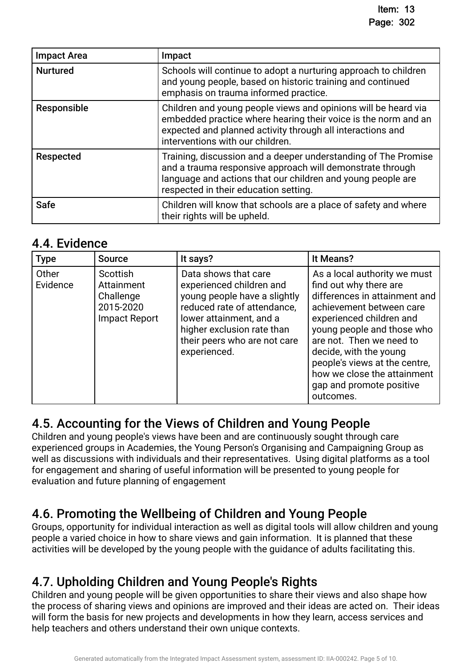| <b>Impact Area</b> | Impact                                                                                                                                                                                                                              |
|--------------------|-------------------------------------------------------------------------------------------------------------------------------------------------------------------------------------------------------------------------------------|
| <b>Nurtured</b>    | Schools will continue to adopt a nurturing approach to children<br>and young people, based on historic training and continued<br>emphasis on trauma informed practice.                                                              |
| Responsible        | Children and young people views and opinions will be heard via<br>embedded practice where hearing their voice is the norm and an<br>expected and planned activity through all interactions and<br>interventions with our children.  |
| Respected          | Training, discussion and a deeper understanding of The Promise<br>and a trauma responsive approach will demonstrate through<br>language and actions that our children and young people are<br>respected in their education setting. |
| <b>Safe</b>        | Children will know that schools are a place of safety and where<br>their rights will be upheld.                                                                                                                                     |

### 4.4. Evidence

| <b>Type</b>       | <b>Source</b>                                                            | It says?                                                                                                                                                                                                                 | It Means?                                                                                                                                                                                                                                                                                                                                    |
|-------------------|--------------------------------------------------------------------------|--------------------------------------------------------------------------------------------------------------------------------------------------------------------------------------------------------------------------|----------------------------------------------------------------------------------------------------------------------------------------------------------------------------------------------------------------------------------------------------------------------------------------------------------------------------------------------|
| Other<br>Evidence | Scottish<br>Attainment<br>Challenge<br>2015-2020<br><b>Impact Report</b> | Data shows that care<br>experienced children and<br>young people have a slightly<br>reduced rate of attendance,<br>lower attainment, and a<br>higher exclusion rate than<br>their peers who are not care<br>experienced. | As a local authority we must<br>find out why there are<br>differences in attainment and<br>achievement between care<br>experienced children and<br>young people and those who<br>are not. Then we need to<br>decide, with the young<br>people's views at the centre,<br>how we close the attainment<br>gap and promote positive<br>outcomes. |

## 4.5. Accounting for the Views of Children and Young People.

Children and young people's views have been and are continuously sought through care experienced groups in Academies, the Young Person's Organising and Campaigning Group as well as discussions with individuals and their representatives. Using digital platforms as a tool for engagement and sharing of useful information will be presented to young people for evaluation and future planning of engagement

## 4.6. Promoting the Wellbeing of Children and Young People.

Groups, opportunity for individual interaction as well as digital tools will allow children and young people a varied choice in how to share views and gain information. It is planned that these activities will be developed by the young people with the guidance of adults facilitating this.

## 4.7. Upholding Children and Young People's Rights.

Children and young people will be given opportunities to share their views and also shape how the process of sharing views and opinions are improved and their ideas are acted on. Their ideas will form the basis for new projects and developments in how they learn, access services and help teachers and others understand their own unique contexts.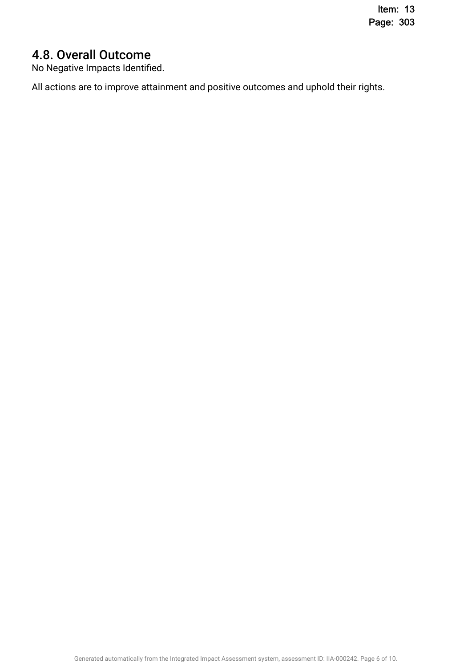## 4.8. Overall Outcome

No Negative Impacts Identifed.

All actions are to improve attainment and positive outcomes and uphold their rights.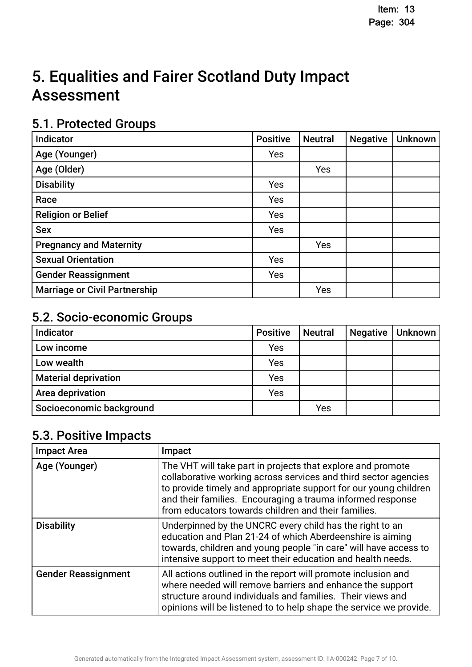# 5. Equalities and Fairer Scotland Duty Impact **Assessment**

## 5.1. Protected Groups

| <b>Indicator</b>                     | <b>Positive</b> | <b>Neutral</b> | <b>Negative</b> | <b>Unknown</b> |
|--------------------------------------|-----------------|----------------|-----------------|----------------|
| Age (Younger)                        | Yes             |                |                 |                |
| Age (Older)                          |                 | Yes            |                 |                |
| <b>Disability</b>                    | Yes             |                |                 |                |
| Race                                 | Yes             |                |                 |                |
| <b>Religion or Belief</b>            | Yes             |                |                 |                |
| <b>Sex</b>                           | <b>Yes</b>      |                |                 |                |
| <b>Pregnancy and Maternity</b>       |                 | Yes            |                 |                |
| <b>Sexual Orientation</b>            | Yes             |                |                 |                |
| <b>Gender Reassignment</b>           | Yes             |                |                 |                |
| <b>Marriage or Civil Partnership</b> |                 | Yes            |                 |                |

## 5.2. Socio-economic Groups

| Indicator                   | <b>Positive</b> | <b>Neutral</b> | <b>Negative</b> | Unknown |
|-----------------------------|-----------------|----------------|-----------------|---------|
| Low income                  | Yes             |                |                 |         |
| Low wealth                  | Yes             |                |                 |         |
| <b>Material deprivation</b> | Yes             |                |                 |         |
| Area deprivation            | Yes             |                |                 |         |
| Socioeconomic background    |                 | Yes            |                 |         |

## 5.3. Positive Impacts

| <b>Impact Area</b>         | Impact                                                                                                                                                                                                                                                                                                                  |
|----------------------------|-------------------------------------------------------------------------------------------------------------------------------------------------------------------------------------------------------------------------------------------------------------------------------------------------------------------------|
| Age (Younger)              | The VHT will take part in projects that explore and promote<br>collaborative working across services and third sector agencies<br>to provide timely and appropriate support for our young children<br>and their families. Encouraging a trauma informed response<br>from educators towards children and their families. |
| <b>Disability</b>          | Underpinned by the UNCRC every child has the right to an<br>education and Plan 21-24 of which Aberdeenshire is aiming<br>towards, children and young people "in care" will have access to<br>intensive support to meet their education and health needs.                                                                |
| <b>Gender Reassignment</b> | All actions outlined in the report will promote inclusion and<br>where needed will remove barriers and enhance the support<br>structure around individuals and families. Their views and<br>opinions will be listened to to help shape the service we provide.                                                          |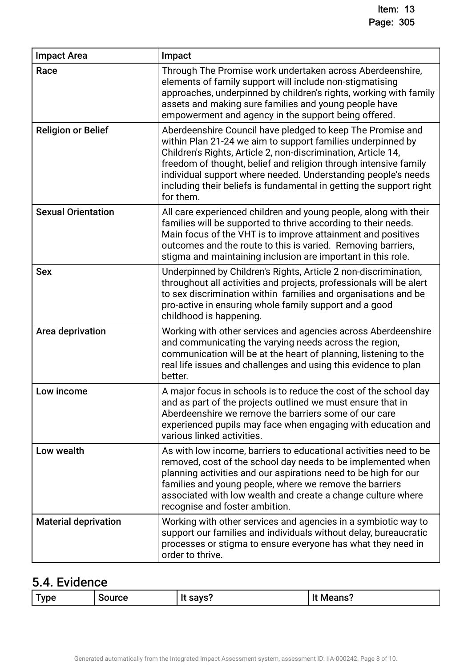| <b>Impact Area</b>          | Impact                                                                                                                                                                                                                                                                                                                                                                                                              |
|-----------------------------|---------------------------------------------------------------------------------------------------------------------------------------------------------------------------------------------------------------------------------------------------------------------------------------------------------------------------------------------------------------------------------------------------------------------|
| Race                        | Through The Promise work undertaken across Aberdeenshire,<br>elements of family support will include non-stigmatising<br>approaches, underpinned by children's rights, working with family<br>assets and making sure families and young people have<br>empowerment and agency in the support being offered.                                                                                                         |
| <b>Religion or Belief</b>   | Aberdeenshire Council have pledged to keep The Promise and<br>within Plan 21-24 we aim to support families underpinned by<br>Children's Rights, Article 2, non-discrimination, Article 14,<br>freedom of thought, belief and religion through intensive family<br>individual support where needed. Understanding people's needs<br>including their beliefs is fundamental in getting the support right<br>for them. |
| <b>Sexual Orientation</b>   | All care experienced children and young people, along with their<br>families will be supported to thrive according to their needs.<br>Main focus of the VHT is to improve attainment and positives<br>outcomes and the route to this is varied. Removing barriers,<br>stigma and maintaining inclusion are important in this role.                                                                                  |
| <b>Sex</b>                  | Underpinned by Children's Rights, Article 2 non-discrimination,<br>throughout all activities and projects, professionals will be alert<br>to sex discrimination within families and organisations and be<br>pro-active in ensuring whole family support and a good<br>childhood is happening.                                                                                                                       |
| Area deprivation            | Working with other services and agencies across Aberdeenshire<br>and communicating the varying needs across the region,<br>communication will be at the heart of planning, listening to the<br>real life issues and challenges and using this evidence to plan<br>better.                                                                                                                                           |
| Low income                  | A major focus in schools is to reduce the cost of the school day<br>and as part of the projects outlined we must ensure that in<br>Aberdeenshire we remove the barriers some of our care<br>experienced pupils may face when engaging with education and<br>various linked activities.                                                                                                                              |
| Low wealth                  | As with low income, barriers to educational activities need to be<br>removed, cost of the school day needs to be implemented when<br>planning activities and our aspirations need to be high for our<br>families and young people, where we remove the barriers<br>associated with low wealth and create a change culture where<br>recognise and foster ambition.                                                   |
| <b>Material deprivation</b> | Working with other services and agencies in a symbiotic way to<br>support our families and individuals without delay, bureaucratic<br>processes or stigma to ensure everyone has what they need in<br>order to thrive.                                                                                                                                                                                              |

## 5.4. Evidence

| savs <sup>r</sup><br>vne]<br><b>Source</b><br>Means? | - |  |  |  |
|------------------------------------------------------|---|--|--|--|
|------------------------------------------------------|---|--|--|--|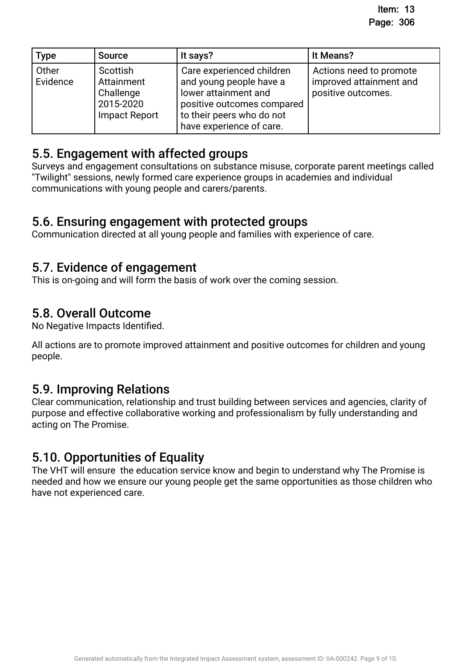| <b>Type</b>       | <b>Source</b>                                                     | It says?                                                                                                                                                            | It Means?                                                                |
|-------------------|-------------------------------------------------------------------|---------------------------------------------------------------------------------------------------------------------------------------------------------------------|--------------------------------------------------------------------------|
| Other<br>Evidence | Scottish<br>Attainment<br>Challenge<br>2015-2020<br>Impact Report | Care experienced children<br>and young people have a<br>lower attainment and<br>positive outcomes compared<br>to their peers who do not<br>have experience of care. | Actions need to promote<br>improved attainment and<br>positive outcomes. |

## 5.5. Engagement with affected groups.

Surveys and engagement consultations on substance misuse, corporate parent meetings called "Twilight" sessions, newly formed care experience groups in academies and individual communications with young people and carers/parents.

### 5.6. Ensuring engagement with protected groups.

Communication directed at all young people and families with experience of care.

## 5.7. Evidence of engagement.

This is on-going and will form the basis of work over the coming session.

## 5.8. Overall Outcome

No Negative Impacts Identifed.

All actions are to promote improved attainment and positive outcomes for children and young people.

## 5.9. Improving Relations.

Clear communication, relationship and trust building between services and agencies, clarity of purpose and effective collaborative working and professionalism by fully understanding and acting on The Promise.

## 5.10. Opportunities of Equality.

The VHT will ensure the education service know and begin to understand why The Promise is needed and how we ensure our young people get the same opportunities as those children who have not experienced care.